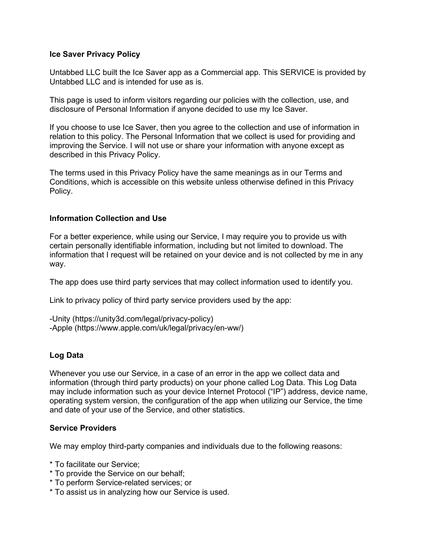### Ice Saver Privacy Policy

Untabbed LLC built the Ice Saver app as a Commercial app. This SERVICE is provided by Untabbed LLC and is intended for use as is.

This page is used to inform visitors regarding our policies with the collection, use, and disclosure of Personal Information if anyone decided to use my Ice Saver.

If you choose to use Ice Saver, then you agree to the collection and use of information in relation to this policy. The Personal Information that we collect is used for providing and improving the Service. I will not use or share your information with anyone except as described in this Privacy Policy.

The terms used in this Privacy Policy have the same meanings as in our Terms and Conditions, which is accessible on this website unless otherwise defined in this Privacy Policy.

## Information Collection and Use

For a better experience, while using our Service, I may require you to provide us with certain personally identifiable information, including but not limited to download. The information that I request will be retained on your device and is not collected by me in any way.

The app does use third party services that may collect information used to identify you.

Link to privacy policy of third party service providers used by the app:

-Unity (https://unity3d.com/legal/privacy-policy) -Apple (https://www.apple.com/uk/legal/privacy/en-ww/)

# Log Data

Whenever you use our Service, in a case of an error in the app we collect data and information (through third party products) on your phone called Log Data. This Log Data may include information such as your device Internet Protocol ("IP") address, device name, operating system version, the configuration of the app when utilizing our Service, the time and date of your use of the Service, and other statistics.

#### Service Providers

We may employ third-party companies and individuals due to the following reasons:

- \* To facilitate our Service;
- \* To provide the Service on our behalf;
- \* To perform Service-related services; or
- \* To assist us in analyzing how our Service is used.